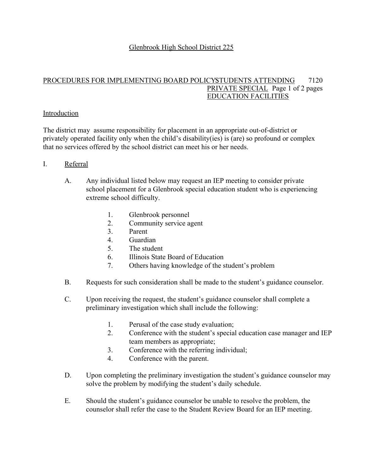# Glenbrook High School District 225

#### PROCEDURES FOR IMPLEMENTING BOARD POLICYSTUDENTS ATTENDING 7120 PRIVATE SPECIAL Page 1 of 2 pages EDUCATION FACILITIES

# Introduction

The district may assume responsibility for placement in an appropriate out-of-district or privately operated facility only when the child's disability(ies) is (are) so profound or complex that no services offered by the school district can meet his or her needs.

### I. Referral

- A. Any individual listed below may request an IEP meeting to consider private school placement for a Glenbrook special education student who is experiencing extreme school difficulty.
	- 1. Glenbrook personnel
	- 2. Community service agent
	- 3. Parent
	- 4. Guardian
	- 5. The student
	- 6. Illinois State Board of Education
	- 7. Others having knowledge of the student's problem
- B. Requests for such consideration shall be made to the student's guidance counselor.
- C. Upon receiving the request, the student's guidance counselor shall complete a preliminary investigation which shall include the following:
	- 1. Perusal of the case study evaluation;
	- 2. Conference with the student's special education case manager and IEP team members as appropriate;
	- 3. Conference with the referring individual;
	- 4. Conference with the parent.
- D. Upon completing the preliminary investigation the student's guidance counselor may solve the problem by modifying the student's daily schedule.
- E. Should the student's guidance counselor be unable to resolve the problem, the counselor shall refer the case to the Student Review Board for an IEP meeting.